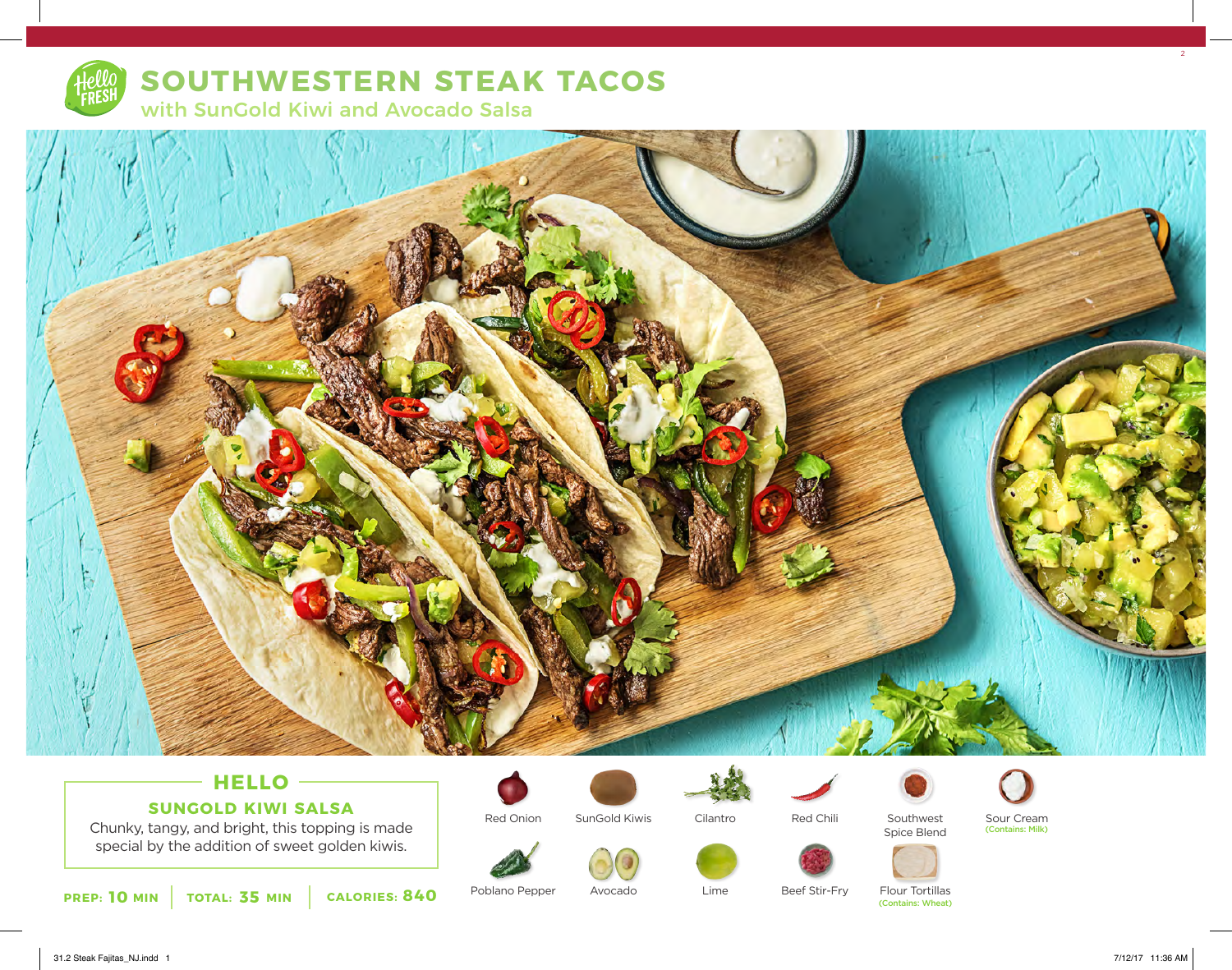

# **SOUTHWESTERN STEAK TACOS**

with SunGold Kiwi and Avocado Salsa



## **HELLO SUNGOLD KIWI SALSA**

Chunky, tangy, and bright, this topping is made special by the addition of sweet golden kiwis.



SunGold Kiwis



Avocado



Lime

Cilantro





Red Chili





Southwest

Beef Stir-Fry

Flour Tortillas<br>(Contains: Wheat)

Sour Cream (Contains: Milk)

Poblano Pepper

Red Onion

 $2<sup>2</sup>$